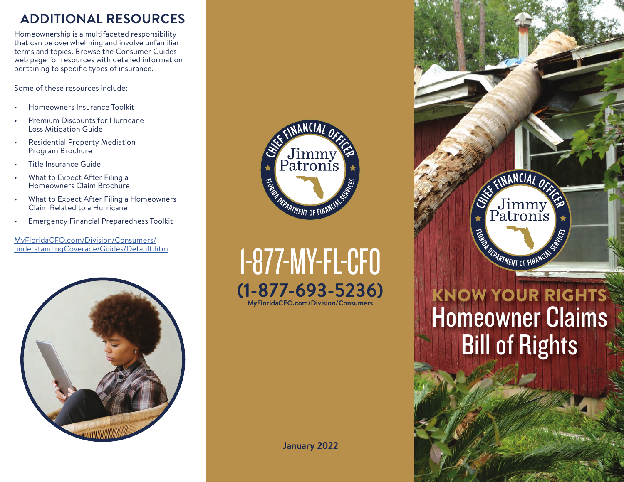## **ADDITIONAL RESOURCES**

Homeownership is a multifaceted responsibility that can be overwhelming and involve unfamiliar terms and topics. Browse the Consumer Guides web page for resources with detailed information pertaining to specific types of insurance.

Some of these resources include:

- Homeowners Insurance Toolkit
- Premium Discounts for Hurricane Loss Mitigation Guide
- Residential Property Mediation Program Brochure
- Title Insurance Guide
- What to Expect After Filing a Homeowners Claim Brochure
- What to Expect After Filing a Homeowners Claim Related to a Hurricane
- Emergency Financial Preparedness Toolkit

MyFloridaCFO.com/Division/Consumers/ [understandingCoverage/Guides/Default.htm](https://www.myfloridacfo.com/Division/Consumers/understandingCoverage/Guides/Default.htm)





1-877-MY-FL-CFO **(1-877-693-5236) [MyFloridaCFO.com/Division/Consumers](https://www.myfloridacfo.com/division/consumers)**

**January 2022**

# CEINANCIAL OF Jimmy<br>Patronis **OEPARTMENT OF FINANCIN NOW YOUR RIGHTS** Homeowner Claims Bill of Rights